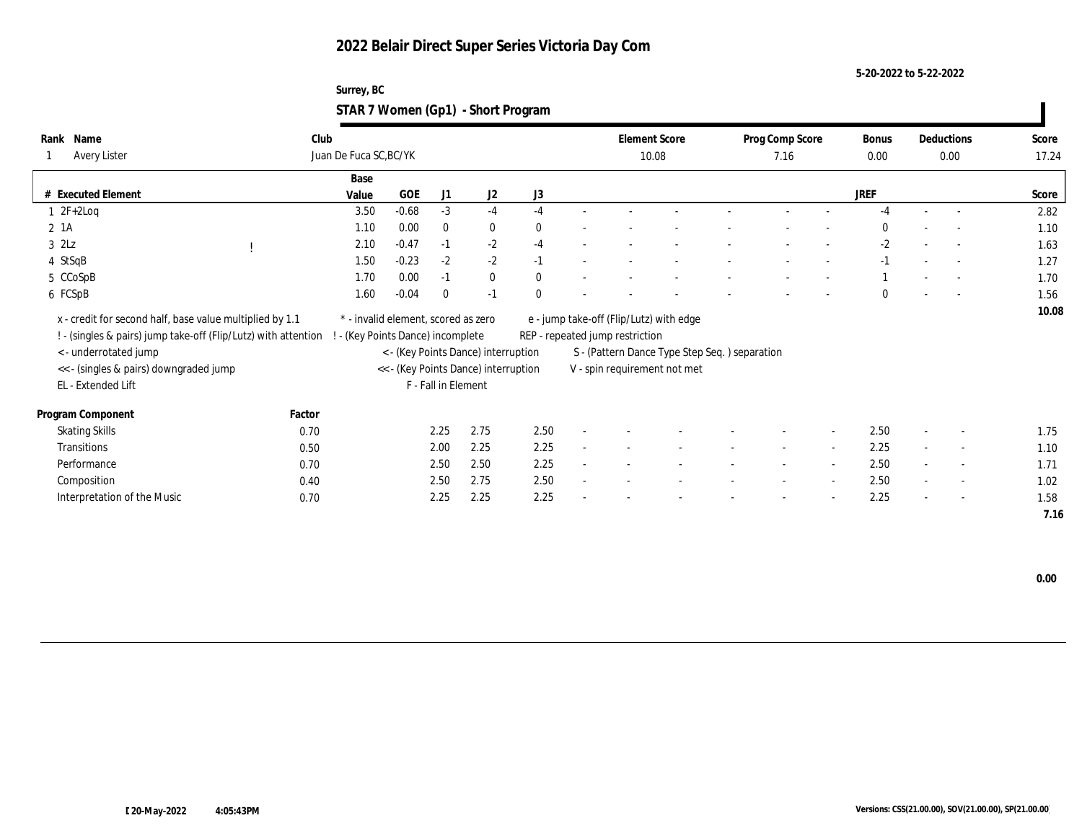**5-20-2022 to 5-22-2022**

| Surrey, BC                         |  |
|------------------------------------|--|
| STAR 7 Women (Gp1) - Short Program |  |

| Name<br>Rank<br><b>Avery Lister</b>                            | Club<br>Juan De Fuca SC, BC/YK |                                      |                     |                                     |              |                                 | <b>Element Score</b><br>10.08                 | Prog Comp Score<br>7.16  |        | Bonus<br>0.00 |        | Deductions<br>0.00       | Score<br>17.24 |
|----------------------------------------------------------------|--------------------------------|--------------------------------------|---------------------|-------------------------------------|--------------|---------------------------------|-----------------------------------------------|--------------------------|--------|---------------|--------|--------------------------|----------------|
|                                                                | Base                           |                                      |                     |                                     |              |                                 |                                               |                          |        |               |        |                          |                |
| # Executed Element                                             | Value                          | GOE                                  | J1                  | J2                                  | J3           |                                 |                                               |                          |        | <b>JREF</b>   |        |                          | Score          |
| $1 \t2F+2Log$                                                  | 3.50                           | $-0.68$                              | $-3$                | $-4$                                | $-4$         |                                 |                                               |                          |        |               |        |                          | 2.82           |
| 2 1A                                                           | 1.10                           | 0.00                                 | $\bf{0}$            | $\bf{0}$                            | $\mathbf{0}$ |                                 |                                               |                          |        | $\Omega$      |        |                          | 1.10           |
| $3$ $2Lz$                                                      | 2.10                           | $-0.47$                              | $-1$                | $-2$                                | $-4$         |                                 |                                               |                          |        | $-2$          |        | $\sim$                   | 1.63           |
| 4 StSqB                                                        | 1.50                           | $-0.23$                              | $-2$                | $-2$                                | $-1$         |                                 |                                               |                          |        | $-1$          |        |                          | 1.27           |
| 5 CCoSpB                                                       | 1.70                           | 0.00                                 | $-1$                | $\bf{0}$                            | $\mathbf{0}$ |                                 |                                               |                          |        |               |        |                          | 1.70           |
| 6 FCSpB                                                        | 1.60                           | $-0.04$                              | $\mathbf{0}$        | $-1$                                | $\mathbf{0}$ |                                 |                                               |                          |        | $\Omega$      |        |                          | 1.56           |
| x - credit for second half, base value multiplied by 1.1       |                                | * - invalid element, scored as zero  |                     |                                     |              |                                 | e - jump take-off (Flip/Lutz) with edge       |                          |        |               |        |                          | 10.08          |
| ! - (singles & pairs) jump take-off (Flip/Lutz) with attention |                                | ! - (Key Points Dance) incomplete    |                     |                                     |              | REP - repeated jump restriction |                                               |                          |        |               |        |                          |                |
| < - underrotated jump                                          |                                |                                      |                     | < - (Key Points Dance) interruption |              |                                 | S - (Pattern Dance Type Step Seq.) separation |                          |        |               |        |                          |                |
| << - (singles & pairs) downgraded jump                         |                                | << - (Key Points Dance) interruption |                     |                                     |              |                                 | V - spin requirement not met                  |                          |        |               |        |                          |                |
| EL - Extended Lift                                             |                                |                                      | F - Fall in Element |                                     |              |                                 |                                               |                          |        |               |        |                          |                |
| Program Component                                              | Factor                         |                                      |                     |                                     |              |                                 |                                               |                          |        |               |        |                          |                |
| <b>Skating Skills</b>                                          | 0.70                           |                                      | 2.25                | 2.75                                | 2.50         |                                 |                                               |                          | $\sim$ | 2.50          |        | $\overline{\phantom{a}}$ | 1.75           |
| Transitions                                                    | 0.50                           |                                      | 2.00                | 2.25                                | 2.25         |                                 |                                               | $\overline{\phantom{a}}$ | $\sim$ | 2.25          |        | $\sim$                   | 1.10           |
| Performance                                                    | 0.70                           |                                      | 2.50                | 2.50                                | 2.25         |                                 |                                               | $\overline{\phantom{a}}$ | $\sim$ | 2.50          | $\sim$ | $\sim$                   | 1.71           |
| Composition                                                    | 0.40                           |                                      | 2.50                | 2.75                                | 2.50         |                                 |                                               |                          | $\sim$ | 2.50          | $\sim$ | $\overline{\phantom{a}}$ | 1.02           |
| Interpretation of the Music                                    | 0.70                           |                                      | 2.25                | 2.25                                | 2.25         |                                 |                                               |                          | $\sim$ | 2.25          | $\sim$ | $\sim$                   | 1.58           |
|                                                                |                                |                                      |                     |                                     |              |                                 |                                               |                          |        |               |        |                          | 7.16           |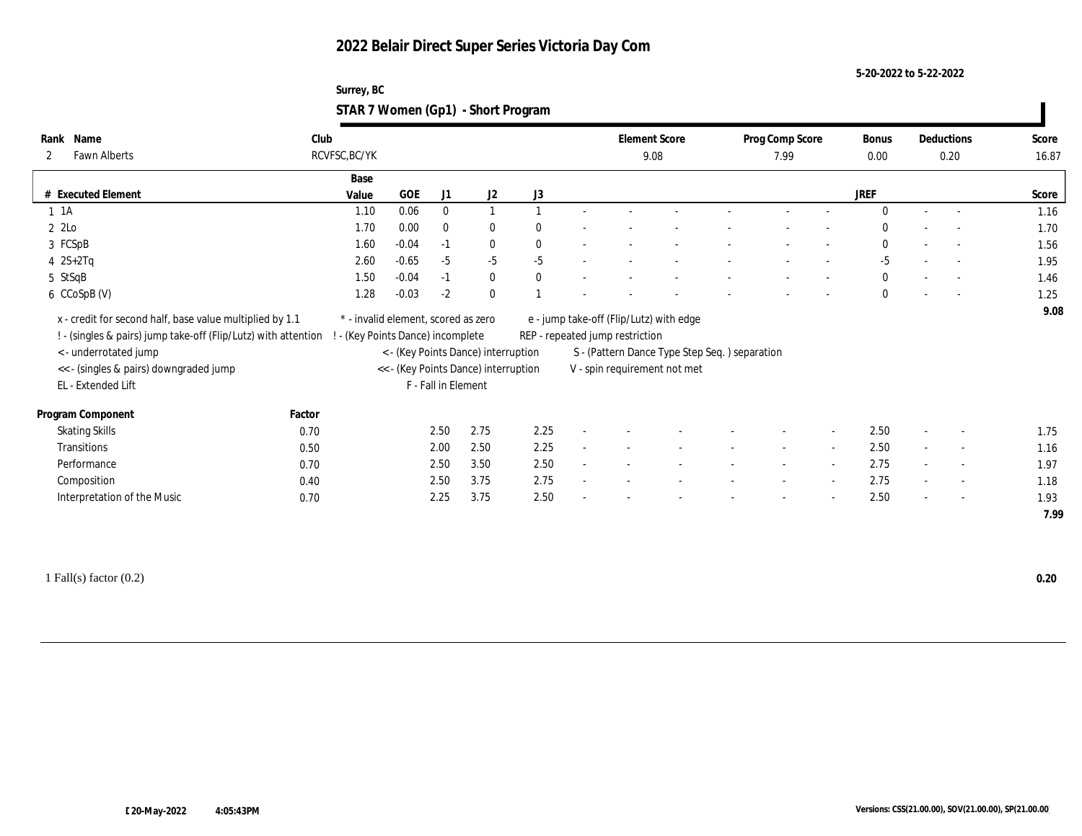**5-20-2022 to 5-22-2022**

| Surrey, BC                         |  |
|------------------------------------|--|
| STAR 7 Women (Gp1) - Short Program |  |

| Name<br>Rank                                                                                                                                                                                                       | Club   |                                                                          |         |                     |                                                                             |              |                                 | <b>Element Score</b>                                                                                                     | Prog Comp Score | Bonus        |        | Deductions     | Score        |
|--------------------------------------------------------------------------------------------------------------------------------------------------------------------------------------------------------------------|--------|--------------------------------------------------------------------------|---------|---------------------|-----------------------------------------------------------------------------|--------------|---------------------------------|--------------------------------------------------------------------------------------------------------------------------|-----------------|--------------|--------|----------------|--------------|
| <b>Fawn Alberts</b><br>2                                                                                                                                                                                           |        | RCVFSC, BC/YK                                                            |         |                     |                                                                             |              |                                 | 9.08                                                                                                                     | 7.99            | 0.00         |        | 0.20           | 16.87        |
|                                                                                                                                                                                                                    |        | Base                                                                     |         |                     |                                                                             |              |                                 |                                                                                                                          |                 |              |        |                |              |
| # Executed Element                                                                                                                                                                                                 |        | Value                                                                    | GOE     | J1                  | J2                                                                          | J3           |                                 |                                                                                                                          |                 | JREF         |        |                | Score        |
| $1 \t1A$                                                                                                                                                                                                           |        | 1.10                                                                     | 0.06    | $\mathbf{0}$        |                                                                             |              |                                 |                                                                                                                          |                 | $\Omega$     |        |                | 1.16         |
| $2$ $2$ Lo                                                                                                                                                                                                         |        | 1.70                                                                     | 0.00    | $\bf{0}$            | $\bf{0}$                                                                    | $\mathbf{0}$ |                                 |                                                                                                                          |                 | 0            |        |                | 1.70         |
| 3 FCSpB                                                                                                                                                                                                            |        | 1.60                                                                     | $-0.04$ | $-1$                | $\bf{0}$                                                                    | $\mathbf{0}$ |                                 |                                                                                                                          |                 | $\bf{0}$     | $\sim$ |                | 1.56         |
| $4 \quad 2S+2Tq$                                                                                                                                                                                                   |        | 2.60                                                                     | $-0.65$ | $-5$                | $-5$                                                                        | $-5$         |                                 |                                                                                                                          |                 | $-5$         |        |                | 1.95         |
| 5 StSqB                                                                                                                                                                                                            |        | 1.50                                                                     | $-0.04$ | $-1$                | $\bf{0}$                                                                    | $\mathbf{0}$ |                                 |                                                                                                                          |                 | $\bf{0}$     | $\sim$ |                | 1.46         |
| 6 CCoSpB (V)                                                                                                                                                                                                       |        | 1.28                                                                     | $-0.03$ | $-2$                | $\bf{0}$                                                                    |              |                                 |                                                                                                                          |                 | $\mathbf{0}$ |        |                | 1.25         |
| x - credit for second half, base value multiplied by 1.1<br>! - (singles & pairs) jump take-off (Flip/Lutz) with attention<br><- underrotated jump<br><< - (singles & pairs) downgraded jump<br>EL - Extended Lift |        | * - invalid element, scored as zero<br>! - (Key Points Dance) incomplete |         | F - Fall in Element | < - (Key Points Dance) interruption<br><< - (Key Points Dance) interruption |              | REP - repeated jump restriction | e - jump take-off (Flip/Lutz) with edge<br>S - (Pattern Dance Type Step Seq.) separation<br>V - spin requirement not met |                 |              |        |                |              |
| Program Component                                                                                                                                                                                                  | Factor |                                                                          |         |                     |                                                                             |              |                                 |                                                                                                                          |                 |              |        |                |              |
| <b>Skating Skills</b>                                                                                                                                                                                              | 0.70   |                                                                          |         | 2.50                | 2.75                                                                        | 2.25         |                                 |                                                                                                                          |                 | 2.50         |        | $\overline{a}$ | 1.75         |
| Transitions                                                                                                                                                                                                        | 0.50   |                                                                          |         | 2.00                | 2.50                                                                        | 2.25         |                                 |                                                                                                                          |                 | 2.50         |        | $\sim$         | 1.16         |
| Performance                                                                                                                                                                                                        | 0.70   |                                                                          |         | 2.50                | 3.50                                                                        | 2.50         |                                 |                                                                                                                          |                 | 2.75         |        | $\overline{a}$ | 1.97         |
| Composition                                                                                                                                                                                                        | 0.40   |                                                                          |         | 2.50                | 3.75                                                                        | 2.75         |                                 |                                                                                                                          |                 | 2.75         |        | $\sim$         | 1.18         |
| Interpretation of the Music                                                                                                                                                                                        | 0.70   |                                                                          |         | 2.25                | 3.75                                                                        | 2.50         |                                 |                                                                                                                          |                 | 2.50         |        |                | 1.93<br>7.99 |

1 Fall(s) factor (0.2) **0.20**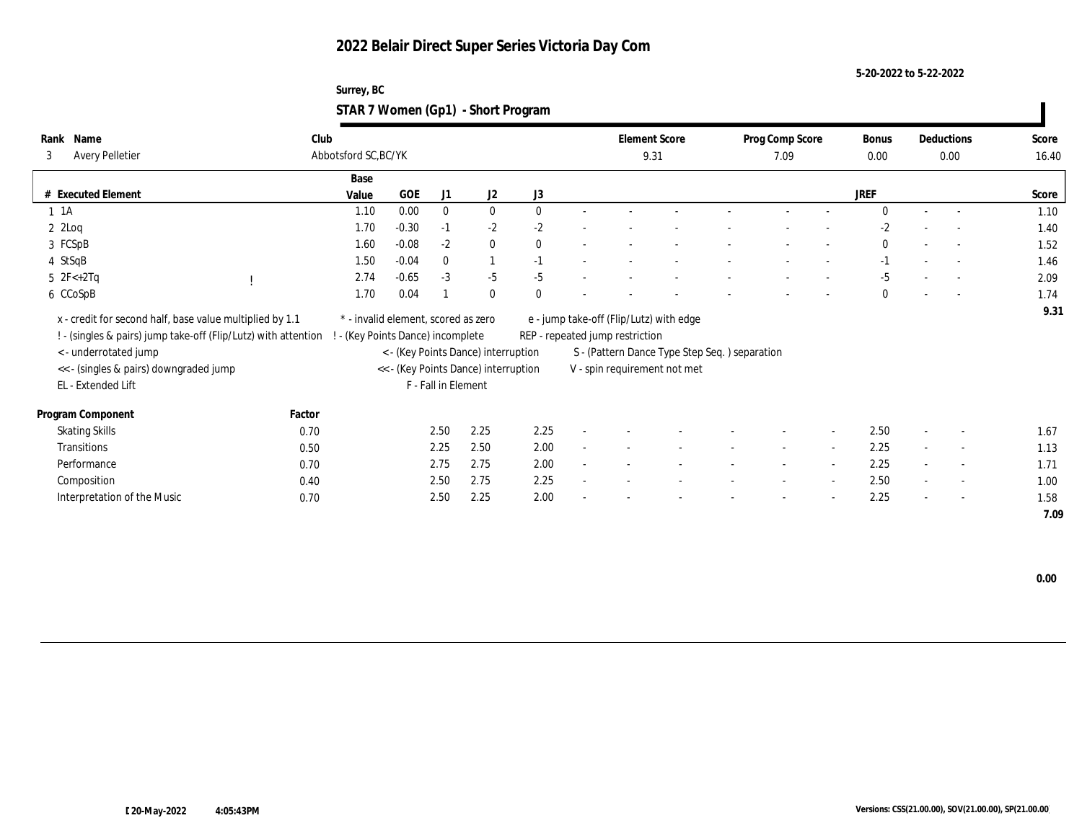**5-20-2022 to 5-22-2022**

| Surrey, BC                         |  |
|------------------------------------|--|
| STAR 7 Women (Gp1) - Short Program |  |

| Name<br>Rank<br><b>Avery Pelletier</b><br>3                    | Club<br>Abbotsford SC, BC/YK        |                               |                     |                                      |              |        | <b>Element Score</b><br>9.31    |                                               | Prog Comp Score<br>7.09  |        | Bonus<br>0.00 |                          | Deductions<br>0.00       | Score<br>16.40 |
|----------------------------------------------------------------|-------------------------------------|-------------------------------|---------------------|--------------------------------------|--------------|--------|---------------------------------|-----------------------------------------------|--------------------------|--------|---------------|--------------------------|--------------------------|----------------|
|                                                                |                                     |                               |                     |                                      |              |        |                                 |                                               |                          |        |               |                          |                          |                |
|                                                                | Base                                |                               |                     |                                      |              |        |                                 |                                               |                          |        |               |                          |                          |                |
| # Executed Element                                             | Value                               | <b>GOE</b>                    | J1                  | J2                                   | J3           |        |                                 |                                               |                          |        | <b>JREF</b>   |                          |                          | Score          |
| $1 \t1A$                                                       | 1.10                                | 0.00                          | $\bf{0}$            | $\bf{0}$                             | $\theta$     |        |                                 |                                               |                          |        | $\Omega$      |                          | $\overline{a}$           | 1.10           |
| $2 \text{ } 2 \text{Log}$                                      | 1.70                                | $-0.30$                       | $-1$                | $-2$                                 | $-2$         |        |                                 |                                               |                          |        | $-2$          |                          | $\sim$                   | 1.40           |
| 3 FCSpB                                                        | 1.60                                | $-0.08$                       | $-2$                | $\bf{0}$                             | $\mathbf{0}$ |        |                                 |                                               |                          |        | $\bf{0}$      |                          | $\sim$                   | 1.52           |
| 4 StSqB                                                        | 1.50                                | $-0.04$                       | $\mathbf{0}$        | $\mathbf{1}$                         | $-1$         |        |                                 |                                               |                          |        | $-1$          |                          | $\overline{\phantom{a}}$ | 1.46           |
| 5 $2F < +2Tq$                                                  | 2.74                                | $-0.65$                       | $-3$                | $-5$                                 | $-5$         |        |                                 |                                               |                          |        | $-5$          |                          |                          | 2.09           |
| 6 CCoSpB                                                       | 1.70                                | 0.04                          |                     | $\theta$                             | $\theta$     |        |                                 |                                               |                          |        | $\Omega$      |                          | $\overline{\phantom{a}}$ | 1.74           |
| x - credit for second half, base value multiplied by 1.1       | * - invalid element, scored as zero |                               |                     |                                      |              |        |                                 | e - jump take-off (Flip/Lutz) with edge       |                          |        |               |                          |                          | 9.31           |
| ! - (singles & pairs) jump take-off (Flip/Lutz) with attention |                                     | (Key Points Dance) incomplete |                     |                                      |              |        | REP - repeated jump restriction |                                               |                          |        |               |                          |                          |                |
| < - underrotated jump                                          |                                     |                               |                     | < - (Key Points Dance) interruption  |              |        |                                 | S - (Pattern Dance Type Step Seq.) separation |                          |        |               |                          |                          |                |
| << - (singles & pairs) downgraded jump                         |                                     |                               |                     | << - (Key Points Dance) interruption |              |        |                                 | V - spin requirement not met                  |                          |        |               |                          |                          |                |
| EL - Extended Lift                                             |                                     |                               | F - Fall in Element |                                      |              |        |                                 |                                               |                          |        |               |                          |                          |                |
| Program Component                                              | Factor                              |                               |                     |                                      |              |        |                                 |                                               |                          |        |               |                          |                          |                |
| <b>Skating Skills</b>                                          | 0.70                                |                               | 2.50                | 2.25                                 | 2.25         |        |                                 |                                               |                          | $\sim$ | 2.50          | $\overline{\phantom{a}}$ | $\sim$                   | 1.67           |
| Transitions                                                    | 0.50                                |                               | 2.25                | 2.50                                 | 2.00         |        |                                 |                                               | $\overline{\phantom{a}}$ | $\sim$ | 2.25          |                          | $\sim$                   | 1.13           |
| Performance                                                    | 0.70                                |                               | 2.75                | 2.75                                 | 2.00         | $\sim$ |                                 |                                               | $\sim$                   | $\sim$ | 2.25          | $\sim$                   | $\overline{\phantom{a}}$ | 1.71           |
| Composition                                                    | 0.40                                |                               | 2.50                | 2.75                                 | 2.25         |        |                                 |                                               |                          | $\sim$ | 2.50          | $\sim$                   | $\sim$                   | 1.00           |
| Interpretation of the Music                                    | 0.70                                |                               | 2.50                | 2.25                                 | 2.00         |        |                                 |                                               |                          | $\sim$ | 2.25          | $\sim$                   | $\overline{\phantom{a}}$ | 1.58           |
|                                                                |                                     |                               |                     |                                      |              |        |                                 |                                               |                          |        |               |                          |                          | 7.09           |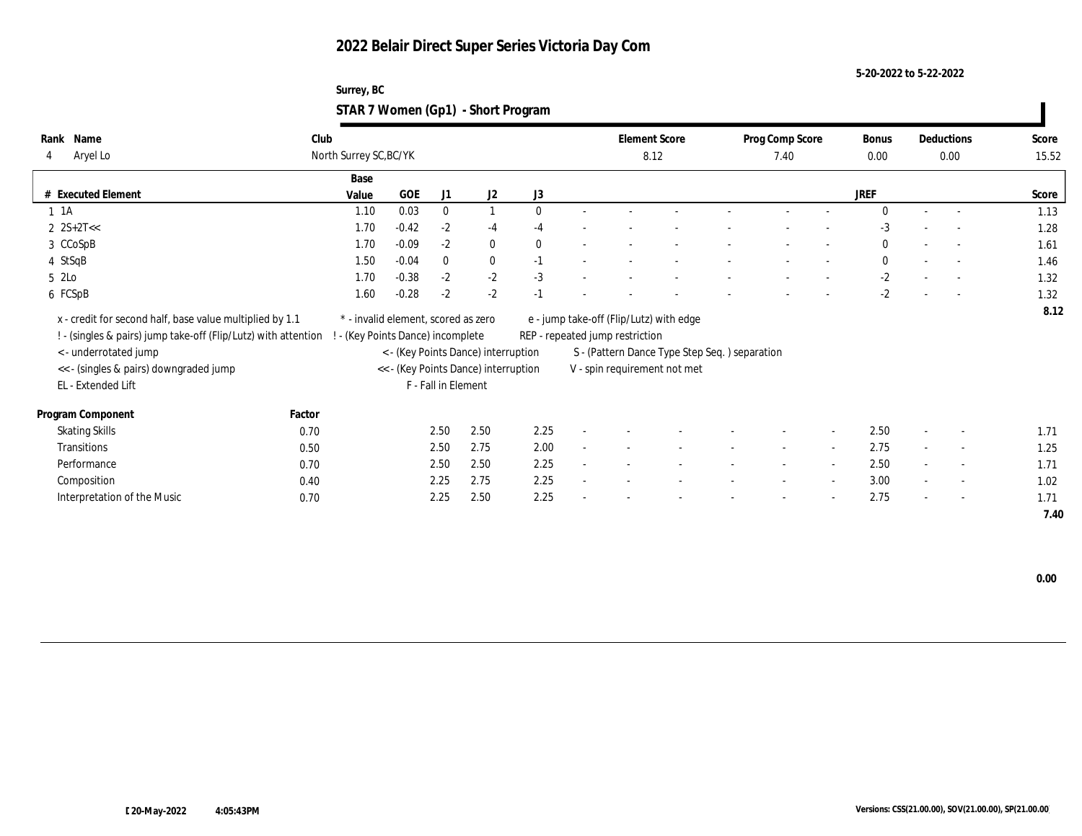#### **5-20-2022 to 5-22-2022**

#### **Surrey, BC STAR 7 Women (Gp1) - Short Program**

| Name<br>Rank                                                   | Club   |                                     |         |                     |                                      |              |        | <b>Element Score</b>            |                                                | Prog Comp Score |                          | Bonus        |        | Deductions               | Score |
|----------------------------------------------------------------|--------|-------------------------------------|---------|---------------------|--------------------------------------|--------------|--------|---------------------------------|------------------------------------------------|-----------------|--------------------------|--------------|--------|--------------------------|-------|
| Aryel Lo<br>4                                                  |        | North Surrey SC, BC/YK              |         |                     |                                      |              |        |                                 | 8.12                                           | 7.40            |                          | 0.00         |        | 0.00                     | 15.52 |
|                                                                |        | Base                                |         |                     |                                      |              |        |                                 |                                                |                 |                          |              |        |                          |       |
| # Executed Element                                             |        | Value                               | GOE     | J1                  | J2                                   | J3           |        |                                 |                                                |                 |                          | <b>JREF</b>  |        |                          | Score |
| $1 \t1A$                                                       |        | 1.10                                | 0.03    | $\bf{0}$            |                                      | $\mathbf{0}$ |        |                                 |                                                |                 |                          | $\Omega$     |        | $\overline{\phantom{a}}$ | 1.13  |
| $2$ $2S+2T<<$                                                  |        | 1.70                                | $-0.42$ | $-2$                | $-4$                                 | $-4$         |        |                                 |                                                |                 |                          | $-3$         |        |                          | 1.28  |
| 3 CCoSpB                                                       |        | 1.70                                | $-0.09$ | $-2$                | $\bf{0}$                             | $\mathbf{0}$ |        |                                 |                                                |                 |                          | $\bf{0}$     |        | $\overline{\phantom{a}}$ | 1.61  |
| 4 StSqB                                                        |        | 1.50                                | $-0.04$ | $\mathbf{0}$        | $\bf{0}$                             | $-1$         |        |                                 |                                                |                 |                          | $\mathbf{0}$ |        | $\overline{\phantom{a}}$ | 1.46  |
| 5 2Lo                                                          |        | 1.70                                | $-0.38$ | $-2$                | $-2$                                 | $-3$         |        |                                 |                                                |                 |                          | $-2$         |        | $\overline{\phantom{a}}$ | 1.32  |
| 6 FCSpB                                                        |        | 1.60                                | $-0.28$ | $-2$                | $-2$                                 | $-1$         |        |                                 |                                                |                 |                          | $-2$         |        | $\sim$                   | 1.32  |
| x - credit for second half, base value multiplied by 1.1       |        | * - invalid element, scored as zero |         |                     |                                      |              |        |                                 | e - jump take-off (Flip/Lutz) with edge        |                 |                          |              |        |                          | 8.12  |
| ! - (singles & pairs) jump take-off (Flip/Lutz) with attention |        | - (Key Points Dance) incomplete     |         |                     |                                      |              |        | REP - repeated jump restriction |                                                |                 |                          |              |        |                          |       |
| < - underrotated jump                                          |        |                                     |         |                     | < - (Key Points Dance) interruption  |              |        |                                 | S - (Pattern Dance Type Step Seq. ) separation |                 |                          |              |        |                          |       |
| << - (singles & pairs) downgraded jump                         |        |                                     |         |                     | << - (Key Points Dance) interruption |              |        |                                 | V - spin requirement not met                   |                 |                          |              |        |                          |       |
| EL - Extended Lift                                             |        |                                     |         | F - Fall in Element |                                      |              |        |                                 |                                                |                 |                          |              |        |                          |       |
|                                                                |        |                                     |         |                     |                                      |              |        |                                 |                                                |                 |                          |              |        |                          |       |
| Program Component                                              | Factor |                                     |         |                     |                                      |              |        |                                 |                                                |                 |                          |              |        |                          |       |
| <b>Skating Skills</b>                                          | 0.70   |                                     |         | 2.50                | 2.50                                 | 2.25         |        |                                 |                                                |                 | $\sim$                   | 2.50         |        | $\overline{\phantom{a}}$ | 1.71  |
| Transitions                                                    | 0.50   |                                     |         | 2.50                | 2.75                                 | 2.00         | $\sim$ |                                 |                                                | $\sim$          | $\sim$                   | 2.75         | $\sim$ | $\sim$                   | 1.25  |
| Performance                                                    | 0.70   |                                     |         | 2.50                | 2.50                                 | 2.25         | ٠      |                                 |                                                | $\sim$          | $\sim$                   | 2.50         | $\sim$ | $\sim$                   | 1.71  |
| Composition                                                    | 0.40   |                                     |         | 2.25                | 2.75                                 | 2.25         | $\sim$ |                                 |                                                |                 | $\overline{\phantom{a}}$ | 3.00         | $\sim$ | $\sim$                   | 1.02  |
| Interpretation of the Music                                    | 0.70   |                                     |         | 2.25                | 2.50                                 | 2.25         | ٠      |                                 |                                                |                 | $\overline{\phantom{a}}$ | 2.75         | $\sim$ | $\overline{\phantom{a}}$ | 1.71  |
|                                                                |        |                                     |         |                     |                                      |              |        |                                 |                                                |                 |                          |              |        |                          | 7.40  |

 **0.00**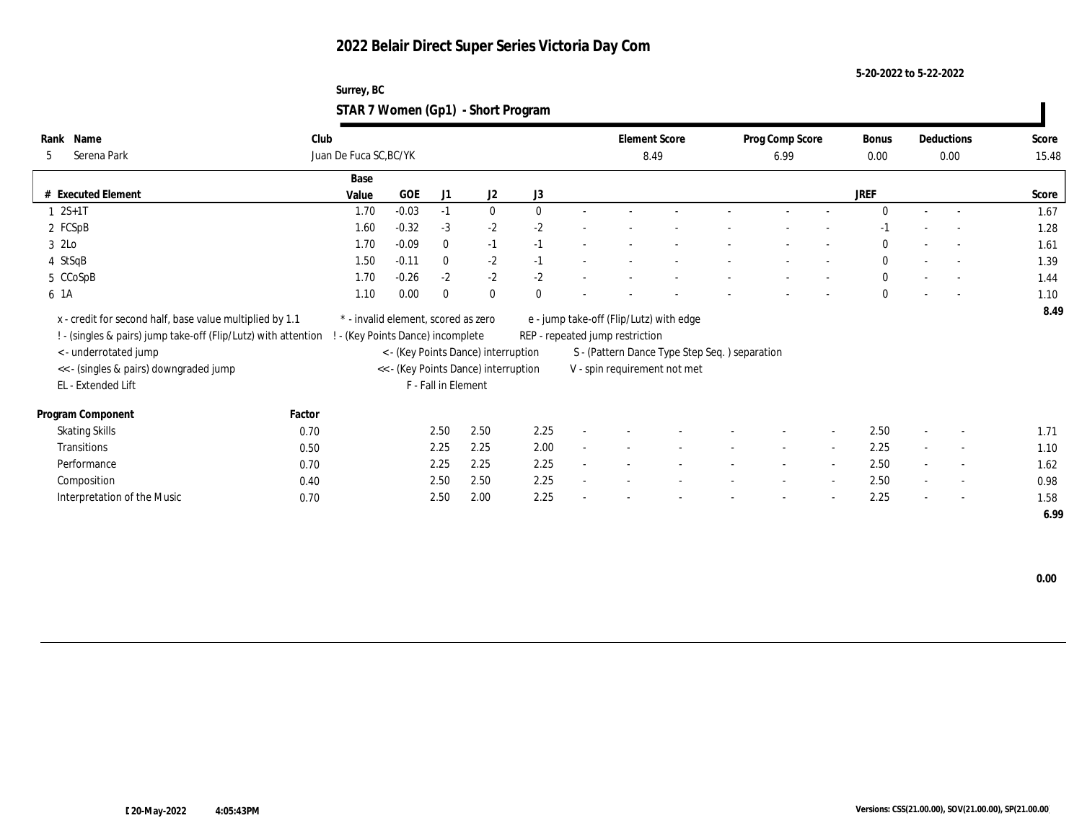#### **5-20-2022 to 5-22-2022**

#### **Surrey, BC STAR 7 Women (Gp1) - Short Program**

| Name<br>Rank                                                                                                               | Club   |                                     |         |                     |                                      |              |        |                                 | <b>Element Score</b>                          | Prog Comp Score          |                          | Bonus        |        | Deductions               | Score |
|----------------------------------------------------------------------------------------------------------------------------|--------|-------------------------------------|---------|---------------------|--------------------------------------|--------------|--------|---------------------------------|-----------------------------------------------|--------------------------|--------------------------|--------------|--------|--------------------------|-------|
| Serena Park<br>5                                                                                                           |        | Juan De Fuca SC, BC/YK              |         |                     |                                      |              |        | 8.49                            |                                               | 6.99                     |                          | $0.00\,$     |        | 0.00                     | 15.48 |
|                                                                                                                            |        | Base                                |         |                     |                                      |              |        |                                 |                                               |                          |                          |              |        |                          |       |
| # Executed Element                                                                                                         |        | Value                               | GOE     | J1                  | J2                                   | J3           |        |                                 |                                               |                          |                          | <b>JREF</b>  |        |                          | Score |
| $1 \ 2S+1T$                                                                                                                |        | 1.70                                | $-0.03$ | $-1$                | $\bf{0}$                             | $\mathbf{0}$ |        |                                 |                                               |                          |                          | $\Omega$     |        | $\overline{a}$           | 1.67  |
| 2 FCSpB                                                                                                                    |        | 1.60                                | $-0.32$ | $-3$                | $-2$                                 | $-2$         |        |                                 |                                               |                          |                          | $-1$         |        |                          | 1.28  |
| 3 2Lo                                                                                                                      |        | 1.70                                | $-0.09$ | $\bf{0}$            | $-1$                                 | $-1$         |        |                                 |                                               |                          |                          | $\bf{0}$     |        |                          | 1.61  |
| 4 StSqB                                                                                                                    |        | 1.50                                | $-0.11$ | $\mathbf{0}$        | $-2$                                 | $-1$         |        |                                 |                                               |                          |                          | $\mathbf{0}$ |        | $\overline{a}$           | 1.39  |
| 5 CCoSpB                                                                                                                   |        | 1.70                                | $-0.26$ | $-2$                | $-2$                                 | $-2$         |        |                                 |                                               |                          |                          | $\bf{0}$     |        | $\overline{\phantom{a}}$ | 1.44  |
| 6 1A                                                                                                                       |        | 1.10                                | 0.00    | $\bf{0}$            | $\mathbf{0}$                         | $\theta$     |        |                                 |                                               |                          |                          | $\mathbf{0}$ |        | $\sim$                   | 1.10  |
|                                                                                                                            |        | * - invalid element, scored as zero |         |                     |                                      |              |        |                                 |                                               |                          |                          |              |        |                          | 8.49  |
| x - credit for second half, base value multiplied by 1.1<br>! - (singles & pairs) jump take-off (Flip/Lutz) with attention |        |                                     |         |                     |                                      |              |        | REP - repeated jump restriction | e - jump take-off (Flip/Lutz) with edge       |                          |                          |              |        |                          |       |
|                                                                                                                            |        | - (Key Points Dance) incomplete     |         |                     |                                      |              |        |                                 |                                               |                          |                          |              |        |                          |       |
| < - underrotated jump                                                                                                      |        |                                     |         |                     | < - (Key Points Dance) interruption  |              |        |                                 | S - (Pattern Dance Type Step Seq.) separation |                          |                          |              |        |                          |       |
| << - (singles & pairs) downgraded jump                                                                                     |        |                                     |         | F - Fall in Element | << - (Key Points Dance) interruption |              |        |                                 | V - spin requirement not met                  |                          |                          |              |        |                          |       |
| EL - Extended Lift                                                                                                         |        |                                     |         |                     |                                      |              |        |                                 |                                               |                          |                          |              |        |                          |       |
| Program Component                                                                                                          | Factor |                                     |         |                     |                                      |              |        |                                 |                                               |                          |                          |              |        |                          |       |
| <b>Skating Skills</b>                                                                                                      | 0.70   |                                     |         | 2.50                | 2.50                                 | 2.25         |        |                                 |                                               |                          | $\sim$                   | 2.50         |        | $\overline{\phantom{a}}$ | 1.71  |
| Transitions                                                                                                                | 0.50   |                                     |         | 2.25                | 2.25                                 | 2.00         | $\sim$ |                                 |                                               | $\overline{\phantom{a}}$ | $\overline{\phantom{a}}$ | 2.25         | $\sim$ | $\sim$                   | 1.10  |
| Performance                                                                                                                | 0.70   |                                     |         | 2.25                | 2.25                                 | 2.25         | $\sim$ |                                 |                                               | $\sim$                   | $\sim$                   | 2.50         | $\sim$ | $\sim$                   | 1.62  |
| Composition                                                                                                                | 0.40   |                                     |         | 2.50                | 2.50                                 | 2.25         | $\sim$ |                                 |                                               |                          | $\sim$                   | 2.50         | $\sim$ | $\overline{\phantom{a}}$ | 0.98  |
| Interpretation of the Music                                                                                                | 0.70   |                                     |         | 2.50                | 2.00                                 | 2.25         |        |                                 |                                               |                          | $\overline{\phantom{a}}$ | 2.25         | $\sim$ | $\overline{\phantom{a}}$ | 1.58  |
|                                                                                                                            |        |                                     |         |                     |                                      |              |        |                                 |                                               |                          |                          |              |        |                          | 6.99  |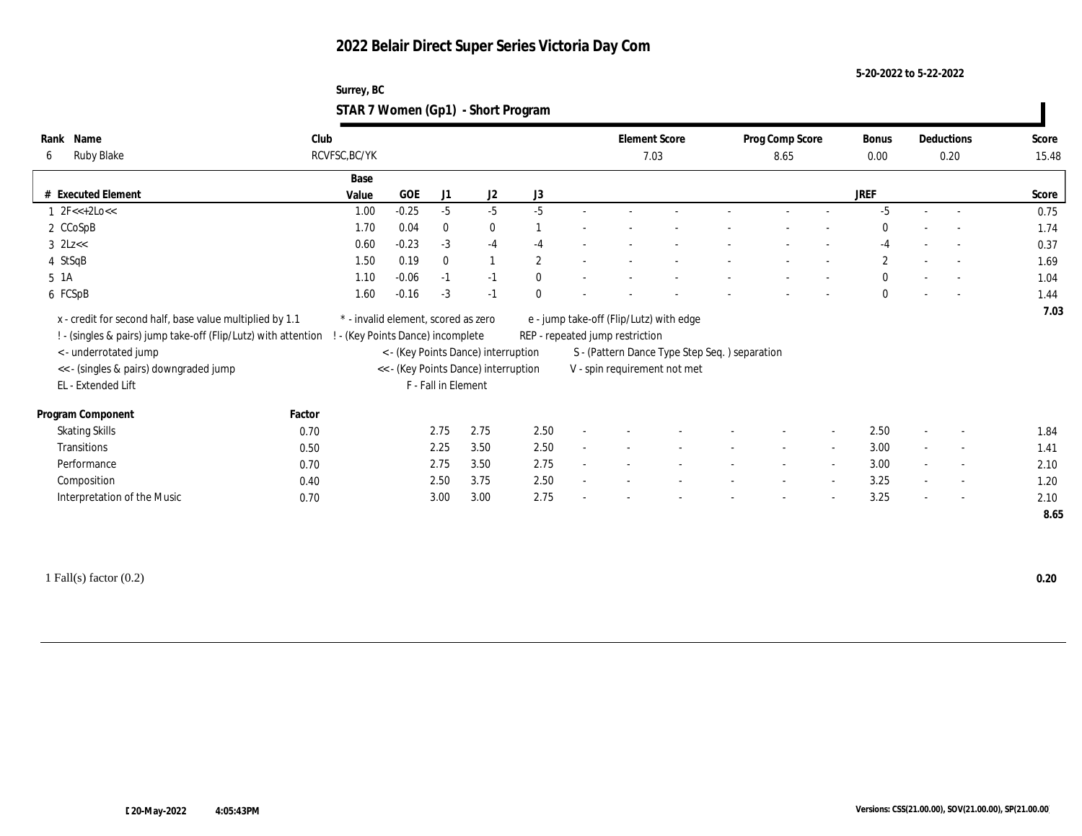**5-20-2022 to 5-22-2022**

| Surrey, BC                         |  |
|------------------------------------|--|
| STAR 7 Women (Gp1) - Short Program |  |

| Name<br>Rank                                                                                                                                                                                                        | Club          |                                                                                                                                                       |                     |              |              | <b>Element Score</b>                                                       |                                                                                | Prog Comp Score |                          | <b>Bonus</b> |        | Deductions               | Score        |
|---------------------------------------------------------------------------------------------------------------------------------------------------------------------------------------------------------------------|---------------|-------------------------------------------------------------------------------------------------------------------------------------------------------|---------------------|--------------|--------------|----------------------------------------------------------------------------|--------------------------------------------------------------------------------|-----------------|--------------------------|--------------|--------|--------------------------|--------------|
| <b>Ruby Blake</b><br>6                                                                                                                                                                                              | RCVFSC, BC/YK |                                                                                                                                                       |                     |              |              | 7.03                                                                       |                                                                                | 8.65            |                          | 0.00         |        | 0.20                     | 15.48        |
|                                                                                                                                                                                                                     | Base          |                                                                                                                                                       |                     |              |              |                                                                            |                                                                                |                 |                          |              |        |                          |              |
| # Executed Element                                                                                                                                                                                                  | Value         | GOE                                                                                                                                                   | J1                  | J2           | J3           |                                                                            |                                                                                |                 |                          | <b>JREF</b>  |        |                          | Score        |
| $1 \text{ } 2F \leq 2LO \leq 1$                                                                                                                                                                                     | 1.00          | $-0.25$                                                                                                                                               | $-5$                | $-5$         | $-5$         |                                                                            |                                                                                |                 |                          | $-5$         |        |                          | 0.75         |
| 2 CCoSpB                                                                                                                                                                                                            | 1.70          | 0.04                                                                                                                                                  | $\bf{0}$            | $\bf{0}$     |              |                                                                            |                                                                                |                 |                          | $\theta$     |        |                          | 1.74         |
| $3$ $2Lz <$                                                                                                                                                                                                         | 0.60          | $-0.23$                                                                                                                                               | $-3$                | $-4$         | $-4$         |                                                                            |                                                                                |                 |                          | $-4$         | $\sim$ | $\sim$                   | 0.37         |
| 4 StSqB                                                                                                                                                                                                             | 1.50          | 0.19                                                                                                                                                  | $\mathbf{0}$        | $\mathbf{1}$ | $\mathbf{2}$ |                                                                            |                                                                                |                 |                          | $\mathbf{2}$ |        | $\overline{\phantom{a}}$ | 1.69         |
| 5 1A                                                                                                                                                                                                                | 1.10          | $-0.06$                                                                                                                                               | $-1$                | $-1$         | $\theta$     |                                                                            |                                                                                |                 | $\overline{\phantom{a}}$ | $\mathbf{0}$ | $\sim$ | $\overline{\phantom{a}}$ | 1.04         |
| 6 FCSpB                                                                                                                                                                                                             | 1.60          | $-0.16$                                                                                                                                               | $-3$                | $-1$         | $\Omega$     |                                                                            |                                                                                |                 |                          | $\mathbf{0}$ |        | $\overline{a}$           | 1.44         |
| x - credit for second half, base value multiplied by 1.1<br>! - (singles & pairs) jump take-off (Flip/Lutz) with attention<br>< - underrotated jump<br><< - (singles & pairs) downgraded jump<br>EL - Extended Lift |               | * - invalid element, scored as zero<br>- (Key Points Dance) incomplete<br>< - (Key Points Dance) interruption<br><< - (Key Points Dance) interruption | F - Fall in Element |              |              | e - jump take-off (Flip/Lutz) with edge<br>REP - repeated jump restriction | S - (Pattern Dance Type Step Seq. ) separation<br>V - spin requirement not met |                 |                          |              |        |                          | 7.03         |
|                                                                                                                                                                                                                     |               |                                                                                                                                                       |                     |              |              |                                                                            |                                                                                |                 |                          |              |        |                          |              |
|                                                                                                                                                                                                                     |               |                                                                                                                                                       |                     |              |              |                                                                            |                                                                                |                 |                          |              |        |                          |              |
| Program Component                                                                                                                                                                                                   | Factor        |                                                                                                                                                       |                     |              |              |                                                                            |                                                                                |                 |                          |              |        | $\overline{\phantom{a}}$ |              |
| <b>Skating Skills</b><br>Transitions                                                                                                                                                                                | 0.70          |                                                                                                                                                       | 2.75                | 2.75         | 2.50         |                                                                            |                                                                                |                 | $\overline{\phantom{a}}$ | 2.50         | $\sim$ | $\sim$                   | 1.84         |
| Performance                                                                                                                                                                                                         | 0.50          |                                                                                                                                                       | 2.25                | 3.50         | 2.50         |                                                                            |                                                                                |                 | $\overline{\phantom{a}}$ | 3.00         |        | $\sim$                   | 1.41         |
|                                                                                                                                                                                                                     | 0.70          |                                                                                                                                                       | 2.75                | 3.50         | 2.75         |                                                                            |                                                                                |                 | $\sim$                   | 3.00         | $\sim$ | $\sim$                   | 2.10         |
| Composition<br>Interpretation of the Music                                                                                                                                                                          | 0.40<br>0.70  |                                                                                                                                                       | 2.50<br>3.00        | 3.75<br>3.00 | 2.50<br>2.75 |                                                                            |                                                                                |                 |                          | 3.25<br>3.25 |        | $\overline{\phantom{a}}$ | 1.20<br>2.10 |

1 Fall(s) factor (0.2) **0.20**

 $\mathbf{I}$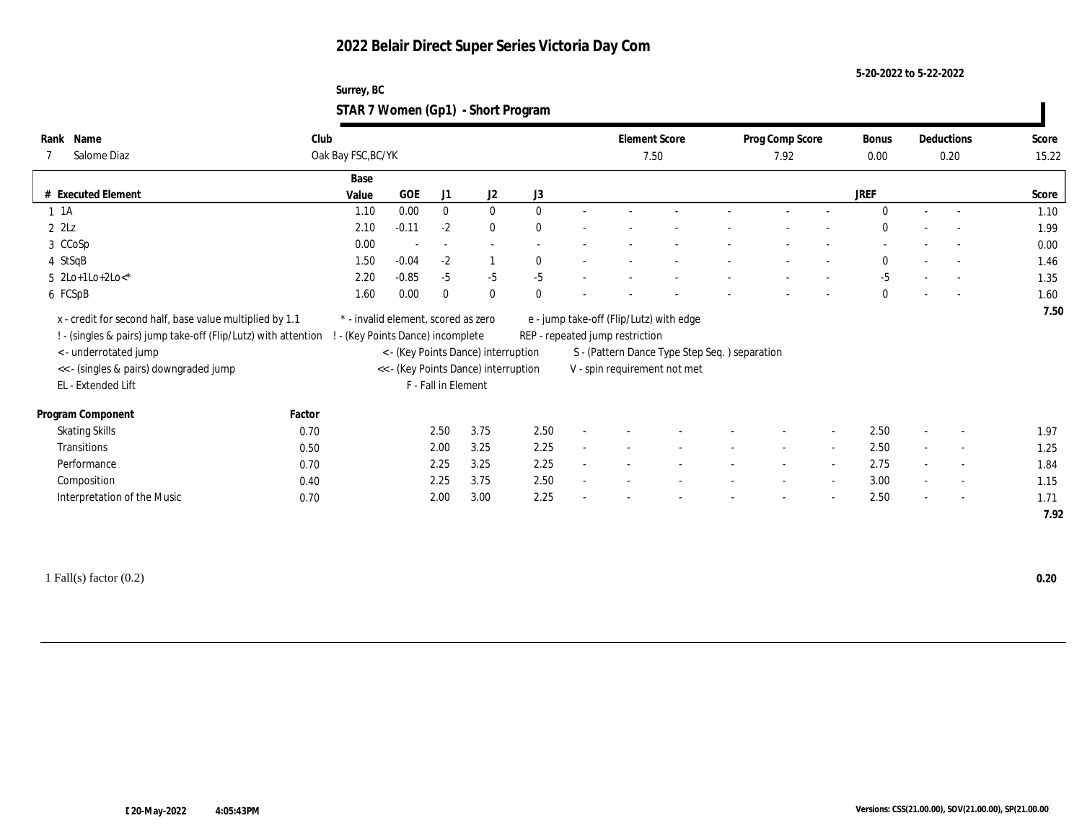**5-20-2022 to 5-22-2022**

| Surrey, BC                         |  |
|------------------------------------|--|
| STAR 7 Women (Gp1) - Short Program |  |

| Name<br>Rank<br>Salome Diaz<br>7                                                                                                                        | Club   | Oak Bay FSC, BC/YK                |         |                          |                                                                             |                  | <b>Element Score</b><br>7.50    |                                                                               | Prog Comp Score<br>7.92 | Bonus<br>0.00 | Deductions | 0.20           | Score<br>15.22 |
|---------------------------------------------------------------------------------------------------------------------------------------------------------|--------|-----------------------------------|---------|--------------------------|-----------------------------------------------------------------------------|------------------|---------------------------------|-------------------------------------------------------------------------------|-------------------------|---------------|------------|----------------|----------------|
|                                                                                                                                                         |        | Base                              |         |                          |                                                                             |                  |                                 |                                                                               |                         |               |            |                |                |
| # Executed Element                                                                                                                                      |        | Value                             | GOE     | J1                       | J2                                                                          | $_{\mathrm{J}3}$ |                                 |                                                                               |                         | JREF          |            |                | Score          |
| $1 \t1A$                                                                                                                                                |        | 1.10                              | 0.00    | $\bf{0}$                 | $\bf{0}$                                                                    | $\mathbf{0}$     |                                 |                                                                               |                         | $\Omega$      | $\sim$     |                | 1.10           |
| $2$ $2$ Lz                                                                                                                                              |        | 2.10                              | $-0.11$ | $-2$                     | $\bf{0}$                                                                    | $\bf{0}$         |                                 |                                                                               |                         | $\mathbf{0}$  |            |                | 1.99           |
| 3 CCoSp                                                                                                                                                 |        | 0.00                              |         | $\overline{\phantom{a}}$ | $\sim$                                                                      |                  |                                 |                                                                               |                         |               |            |                | 0.00           |
| 4 StSqB                                                                                                                                                 |        | 1.50                              | $-0.04$ | $-2$                     |                                                                             | $\mathbf{0}$     |                                 |                                                                               |                         | $\mathbf{0}$  |            |                | 1.46           |
| $5 \text{ } 2\text{Lo+1Lo+2Lo-*}$                                                                                                                       |        | 2.20                              | $-0.85$ | $-5$                     | $-5$                                                                        | $-5$             |                                 |                                                                               |                         | $-5$          |            |                | 1.35           |
| 6 FCSpB                                                                                                                                                 |        | 1.60                              | 0.00    | $\bf{0}$                 | $\bf{0}$                                                                    | $\mathbf{0}$     |                                 |                                                                               |                         | $\mathbf{0}$  |            |                | 1.60           |
| ! - (singles & pairs) jump take-off (Flip/Lutz) with attention<br>< - underrotated jump<br><< - (singles & pairs) downgraded jump<br>EL - Extended Lift |        | ! - (Key Points Dance) incomplete |         | F - Fall in Element      | < - (Key Points Dance) interruption<br><< - (Key Points Dance) interruption |                  | REP - repeated jump restriction | S - (Pattern Dance Type Step Seq.) separation<br>V - spin requirement not met |                         |               |            |                |                |
| Program Component                                                                                                                                       | Factor |                                   |         |                          |                                                                             |                  |                                 |                                                                               |                         |               |            |                |                |
| <b>Skating Skills</b>                                                                                                                                   | 0.70   |                                   |         | 2.50                     | 3.75                                                                        | 2.50             |                                 |                                                                               |                         | 2.50          |            | $\overline{a}$ | 1.97           |
| Transitions                                                                                                                                             | 0.50   |                                   |         | 2.00                     | 3.25                                                                        | 2.25             |                                 |                                                                               |                         | 2.50          |            | $\sim$         | 1.25           |
| Performance                                                                                                                                             | 0.70   |                                   |         | 2.25                     | 3.25                                                                        | 2.25             |                                 |                                                                               |                         | 2.75          |            | $\overline{a}$ | 1.84           |
| Composition                                                                                                                                             | 0.40   |                                   |         | 2.25                     | 3.75                                                                        | 2.50             |                                 |                                                                               |                         | 3.00          |            | $\sim$         | 1.15           |
| Interpretation of the Music                                                                                                                             | 0.70   |                                   |         | 2.00                     | 3.00                                                                        | 2.25             |                                 |                                                                               |                         | 2.50          |            | $\overline{a}$ | 1.71<br>7.92   |

1 Fall(s) factor (0.2) **0.20**

 $\mathbf{I}$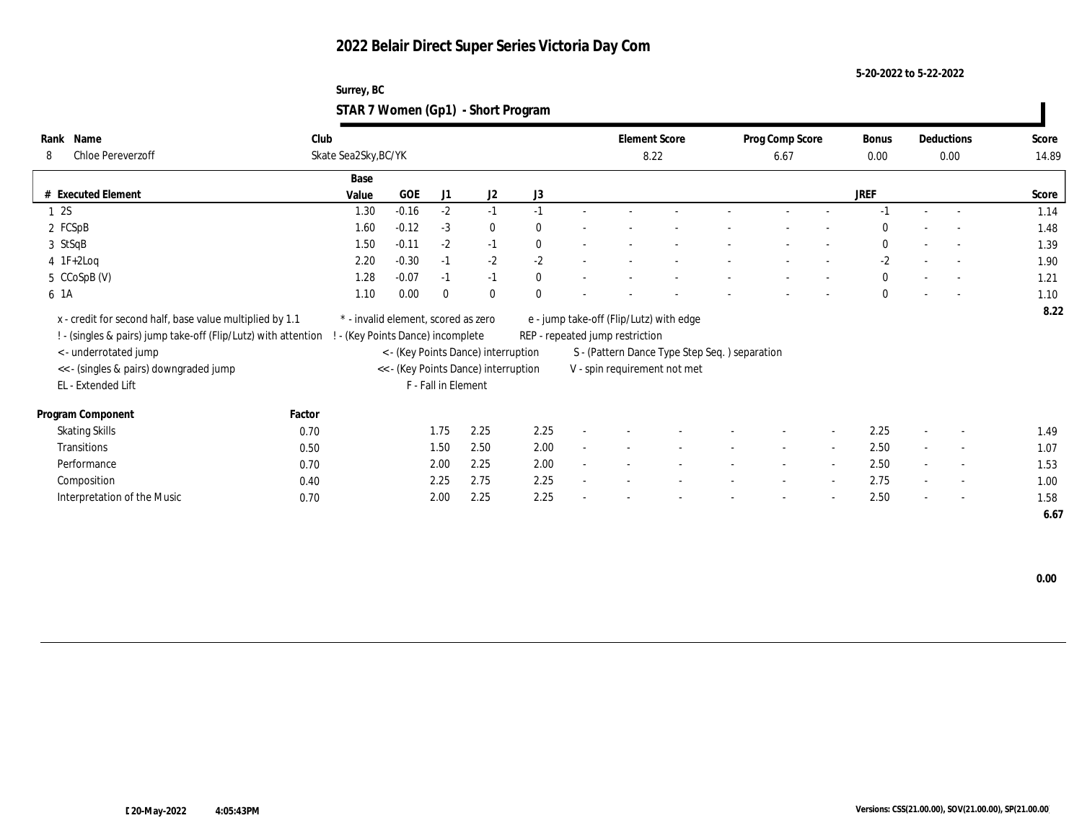#### **5-20-2022 to 5-22-2022**

#### **Surrey, BC STAR 7 Women (Gp1) - Short Program**

| Name<br>Rank                                                   | Club                 |                                     |                     |                                      |              |        | <b>Element Score</b>                                                       |                                               | Prog Comp Score          |        | Bonus       |                          | Deductions               | Score |
|----------------------------------------------------------------|----------------------|-------------------------------------|---------------------|--------------------------------------|--------------|--------|----------------------------------------------------------------------------|-----------------------------------------------|--------------------------|--------|-------------|--------------------------|--------------------------|-------|
| Chloe Pereverzoff<br>8                                         | Skate Sea2Sky, BC/YK |                                     |                     |                                      |              |        | 8.22                                                                       |                                               | 6.67                     |        | $0.00\,$    |                          | 0.00                     | 14.89 |
|                                                                | Base                 |                                     |                     |                                      |              |        |                                                                            |                                               |                          |        |             |                          |                          |       |
| # Executed Element                                             | Value                | GOE                                 | J1                  | J2                                   | J3           |        |                                                                            |                                               |                          |        | <b>JREF</b> |                          |                          | Score |
| 12S                                                            | 1.30                 | $-0.16$                             | $-2$                | $-1$                                 | $-1$         |        |                                                                            |                                               |                          |        |             |                          |                          | 1.14  |
| 2 FCSpB                                                        | 1.60                 | $-0.12$                             | $-3$                | $\mathbf{0}$                         | $\mathbf{0}$ |        |                                                                            |                                               |                          |        | $\Omega$    |                          |                          | 1.48  |
| 3 StSqB                                                        | 1.50                 | $-0.11$                             | $-2$                | $-1$                                 | $\mathbf{0}$ |        |                                                                            |                                               |                          |        | $\bf{0}$    |                          |                          | 1.39  |
| $4 \text{ IF+2Log}$                                            | 2.20                 | $-0.30$                             | $-1$                | $-2$                                 | $-2$         |        |                                                                            |                                               |                          |        | $-2$        |                          | $\overline{a}$           | 1.90  |
| 5 CCoSpB (V)                                                   | 1.28                 | $-0.07$                             | $-1$                | $-1$                                 | $\mathbf{0}$ |        |                                                                            |                                               |                          |        | $\bf{0}$    |                          | $\overline{\phantom{a}}$ | 1.21  |
| 6 1A                                                           | 1.10                 | 0.00                                | $\bf{0}$            | $\mathbf{0}$                         | $\theta$     |        |                                                                            |                                               |                          |        | $\Omega$    |                          |                          | 1.10  |
|                                                                |                      | * - invalid element, scored as zero |                     |                                      |              |        |                                                                            |                                               |                          |        |             |                          |                          | 8.22  |
| x - credit for second half, base value multiplied by 1.1       |                      |                                     |                     |                                      |              |        | e - jump take-off (Flip/Lutz) with edge<br>REP - repeated jump restriction |                                               |                          |        |             |                          |                          |       |
| ! - (singles & pairs) jump take-off (Flip/Lutz) with attention |                      | - (Key Points Dance) incomplete     |                     |                                      |              |        |                                                                            |                                               |                          |        |             |                          |                          |       |
| < - underrotated jump                                          |                      |                                     |                     | < - (Key Points Dance) interruption  |              |        |                                                                            | S - (Pattern Dance Type Step Seq.) separation |                          |        |             |                          |                          |       |
| << - (singles & pairs) downgraded jump                         |                      |                                     |                     | << - (Key Points Dance) interruption |              |        |                                                                            | V - spin requirement not met                  |                          |        |             |                          |                          |       |
| EL - Extended Lift                                             |                      |                                     | F - Fall in Element |                                      |              |        |                                                                            |                                               |                          |        |             |                          |                          |       |
| Program Component                                              | Factor               |                                     |                     |                                      |              |        |                                                                            |                                               |                          |        |             |                          |                          |       |
| <b>Skating Skills</b>                                          | 0.70                 |                                     | 1.75                | 2.25                                 | 2.25         |        |                                                                            |                                               |                          | $\sim$ | 2.25        |                          | $\overline{\phantom{a}}$ | 1.49  |
| Transitions                                                    | 0.50                 |                                     | 1.50                | 2.50                                 | 2.00         | $\sim$ |                                                                            |                                               | $\overline{\phantom{a}}$ | $\sim$ | 2.50        |                          | $\sim$                   | 1.07  |
| Performance                                                    | 0.70                 |                                     | 2.00                | 2.25                                 | 2.00         | ٠      |                                                                            |                                               | $\sim$                   | $\sim$ | 2.50        | $\sim$                   | $\sim$                   | 1.53  |
| Composition                                                    | 0.40                 |                                     | 2.25                | 2.75                                 | 2.25         |        |                                                                            |                                               |                          | $\sim$ | 2.75        | $\sim$                   | $\overline{\phantom{a}}$ | 1.00  |
| Interpretation of the Music                                    | 0.70                 |                                     | 2.00                | 2.25                                 | 2.25         |        |                                                                            |                                               |                          | $\sim$ | 2.50        | $\overline{\phantom{a}}$ | $\overline{\phantom{a}}$ | 1.58  |
|                                                                |                      |                                     |                     |                                      |              |        |                                                                            |                                               |                          |        |             |                          |                          | 6.67  |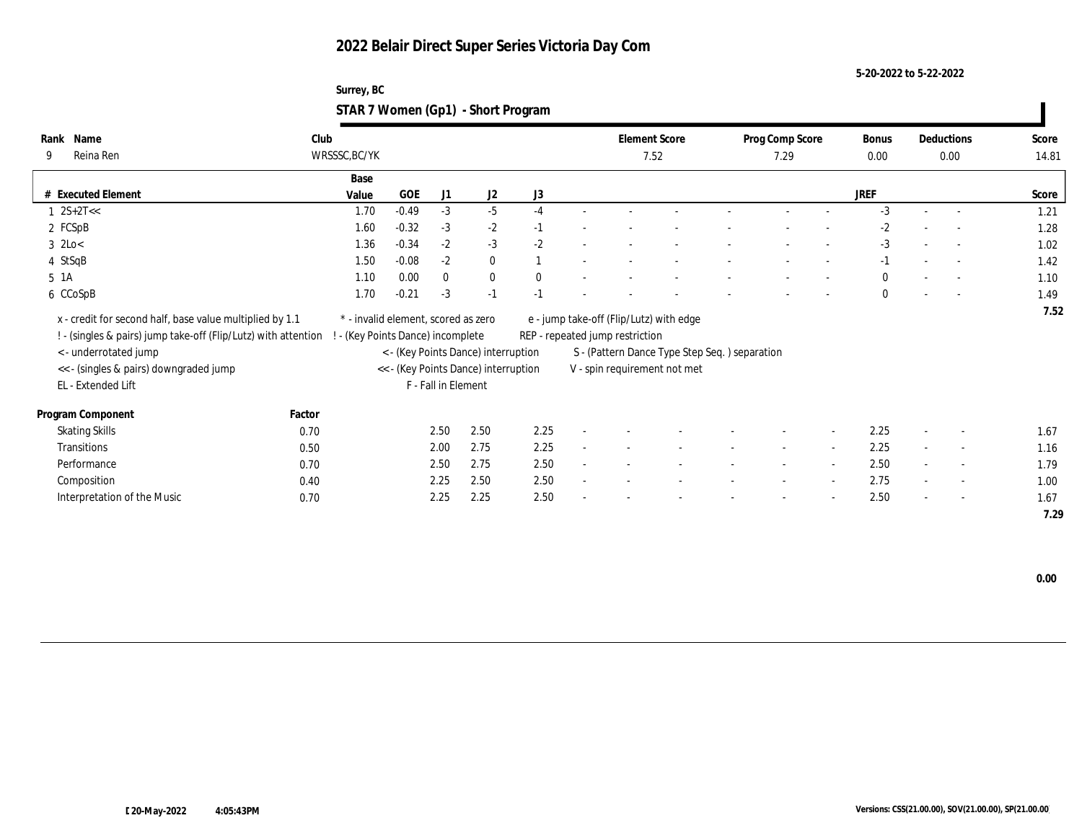**5-20-2022 to 5-22-2022**

| Surrey, BC                         |  |
|------------------------------------|--|
| STAR 7 Women (Gp1) - Short Program |  |

| Rank        | Name                                                           | Club   |                                     |         |                     |                                      |              |                                 | <b>Element Score</b>                          | Prog Comp Score |        | Bonus        |                          | Deductions               | Score |
|-------------|----------------------------------------------------------------|--------|-------------------------------------|---------|---------------------|--------------------------------------|--------------|---------------------------------|-----------------------------------------------|-----------------|--------|--------------|--------------------------|--------------------------|-------|
| 9           | Reina Ren                                                      |        | WRSSSC, BC/YK                       |         |                     |                                      |              |                                 | 7.52                                          | 7.29            |        | 0.00         |                          | 0.00                     | 14.81 |
|             |                                                                |        | Base                                |         |                     |                                      |              |                                 |                                               |                 |        |              |                          |                          |       |
|             | # Executed Element                                             |        | Value                               | GOE     | J1                  | J2                                   | J3           |                                 |                                               |                 |        | <b>JREF</b>  |                          |                          | Score |
|             | $1 \, 2S+2T<<$                                                 |        | 1.70                                | $-0.49$ | $-3$                | $-5$                                 | $-4$         |                                 |                                               |                 |        | $-3$         |                          |                          | 1.21  |
|             | 2 FCSpB                                                        |        | 1.60                                | $-0.32$ | $-3$                | $-2$                                 | $-1$         |                                 |                                               |                 |        | $-2$         |                          | $\sim$                   | 1.28  |
| $3$ 2Lo $<$ |                                                                |        | 1.36                                | $-0.34$ | $-2$                | $-3$                                 | $-2$         |                                 |                                               |                 |        | $-3$         | $\overline{\phantom{a}}$ | $\overline{\phantom{a}}$ | 1.02  |
| 4 StSqB     |                                                                |        | 1.50                                | $-0.08$ | $-2$                | $\bf{0}$                             |              |                                 |                                               |                 |        | $-1$         | $\overline{\phantom{a}}$ |                          | 1.42  |
| 5 1A        |                                                                |        | 1.10                                | 0.00    | $\bf{0}$            | $\bf{0}$                             | $\mathbf{0}$ |                                 |                                               |                 |        | $\mathbf{0}$ |                          |                          | 1.10  |
|             | 6 CCoSpB                                                       |        | 1.70                                | $-0.21$ | $-3$                | $-1$                                 | $-1$         |                                 |                                               |                 |        | $\theta$     |                          | $\overline{\phantom{a}}$ | 1.49  |
|             | x - credit for second half, base value multiplied by 1.1       |        | * - invalid element, scored as zero |         |                     |                                      |              |                                 | e - jump take-off (Flip/Lutz) with edge       |                 |        |              |                          |                          | 7.52  |
|             | ! - (singles & pairs) jump take-off (Flip/Lutz) with attention |        | - (Key Points Dance) incomplete     |         |                     |                                      |              | REP - repeated jump restriction |                                               |                 |        |              |                          |                          |       |
|             | < - underrotated jump                                          |        |                                     |         |                     | < - (Key Points Dance) interruption  |              |                                 | S - (Pattern Dance Type Step Seq.) separation |                 |        |              |                          |                          |       |
|             | << - (singles & pairs) downgraded jump                         |        |                                     |         |                     | << - (Key Points Dance) interruption |              |                                 | V - spin requirement not met                  |                 |        |              |                          |                          |       |
|             | EL - Extended Lift                                             |        |                                     |         | F - Fall in Element |                                      |              |                                 |                                               |                 |        |              |                          |                          |       |
|             |                                                                |        |                                     |         |                     |                                      |              |                                 |                                               |                 |        |              |                          |                          |       |
|             | Program Component                                              | Factor |                                     |         |                     |                                      |              |                                 |                                               |                 |        |              |                          |                          |       |
|             | <b>Skating Skills</b>                                          | 0.70   |                                     |         | 2.50                | 2.50                                 | 2.25         |                                 |                                               |                 | $\sim$ | 2.25         | $\sim$                   | $\overline{\phantom{a}}$ | 1.67  |
|             | Transitions                                                    | 0.50   |                                     |         | 2.00                | 2.75                                 | 2.25         |                                 |                                               | $\sim$          | $\sim$ | 2.25         |                          | $\sim$                   | 1.16  |
|             | Performance                                                    | 0.70   |                                     |         | 2.50                | 2.75                                 | 2.50         |                                 |                                               | $\sim$          | $\sim$ | 2.50         | $\sim$                   | $\sim$                   | 1.79  |
|             | Composition                                                    | 0.40   |                                     |         | 2.25                | 2.50                                 | 2.50         |                                 |                                               |                 | $\sim$ | 2.75         | $\sim$                   | $\sim$                   | 1.00  |
|             | Interpretation of the Music                                    | 0.70   |                                     |         | 2.25                | 2.25                                 | 2.50         |                                 |                                               |                 | $\sim$ | 2.50         | $\sim$                   | $\sim$                   | 1.67  |
|             |                                                                |        |                                     |         |                     |                                      |              |                                 |                                               |                 |        |              |                          |                          | 7.29  |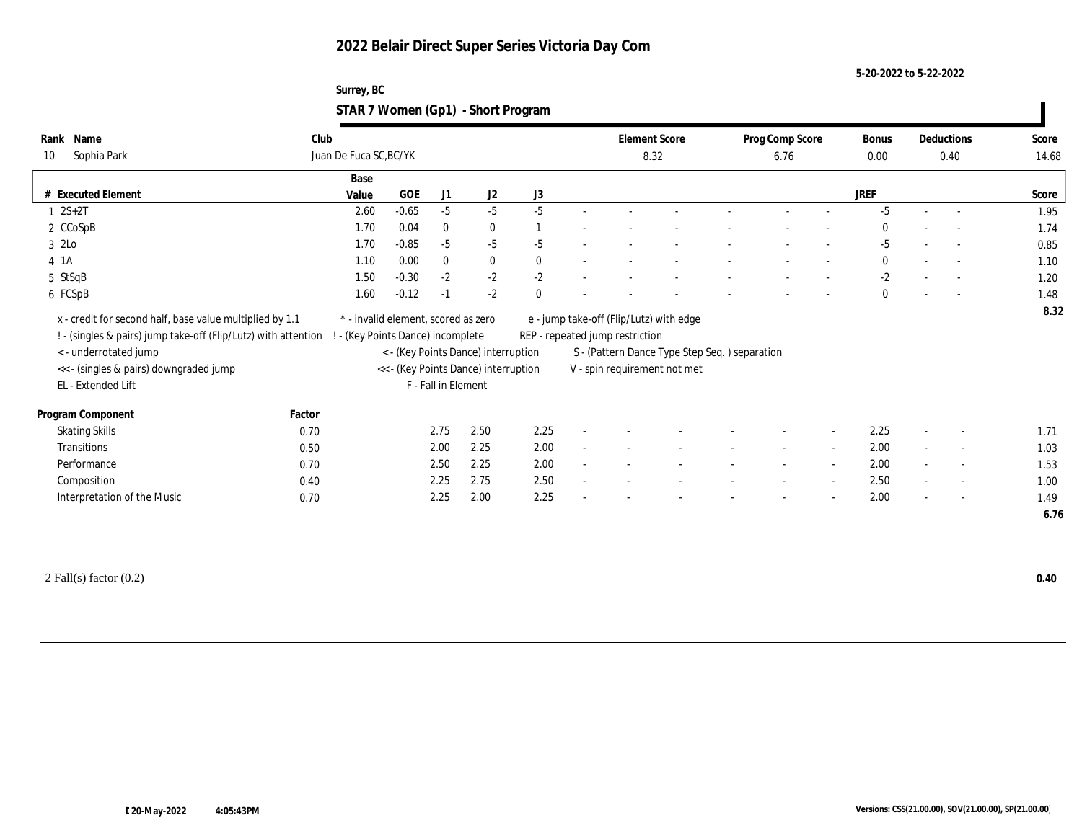**5-20-2022 to 5-22-2022**

| Surrey, BC                         |  |
|------------------------------------|--|
| STAR 7 Women (Gp1) - Short Program |  |

| Name<br>Rank                                                                                                               | Club   |                                                                        |         |                     |                                                                             |              | <b>Element Score</b>                                                          |  | Prog Comp Score |                          | Bonus        |        | Deductions               | Score |
|----------------------------------------------------------------------------------------------------------------------------|--------|------------------------------------------------------------------------|---------|---------------------|-----------------------------------------------------------------------------|--------------|-------------------------------------------------------------------------------|--|-----------------|--------------------------|--------------|--------|--------------------------|-------|
| Sophia Park<br>10                                                                                                          |        | Juan De Fuca SC, BC/YK                                                 |         |                     |                                                                             |              | 8.32                                                                          |  | 6.76            |                          | 0.00         |        | 0.40                     | 14.68 |
|                                                                                                                            |        | Base                                                                   |         |                     |                                                                             |              |                                                                               |  |                 |                          |              |        |                          |       |
| # Executed Element                                                                                                         |        | Value                                                                  | GOE     | J1                  | J2                                                                          | J3           |                                                                               |  |                 |                          | <b>JREF</b>  |        |                          | Score |
| $1 \ 2S + 2T$                                                                                                              |        | 2.60                                                                   | $-0.65$ | $-5$                | $-5$                                                                        | $-5$         |                                                                               |  |                 |                          | $-5$         |        |                          | 1.95  |
| 2 CCoSpB                                                                                                                   |        | 1.70                                                                   | 0.04    | $\bf{0}$            | $\bf{0}$                                                                    |              |                                                                               |  |                 |                          | $\mathbf{0}$ |        | $\overline{\phantom{a}}$ | 1.74  |
| 3 2Lo                                                                                                                      |        | 1.70                                                                   | $-0.85$ | $-5$                | $-5$                                                                        | $-5$         |                                                                               |  |                 |                          | $-5$         |        | $\sim$                   | 0.85  |
| 4 1A                                                                                                                       |        | 1.10                                                                   | 0.00    | $\bf{0}$            | $\bf{0}$                                                                    | $\mathbf{0}$ |                                                                               |  |                 |                          | $\bf{0}$     |        | $\sim$                   | 1.10  |
| 5 StSqB                                                                                                                    |        | 1.50                                                                   | $-0.30$ | $-2$                | $-2$                                                                        | $-2$         |                                                                               |  |                 |                          | $-2$         |        | $\overline{\phantom{a}}$ | 1.20  |
| 6 FCSpB                                                                                                                    |        | 1.60                                                                   | $-0.12$ | $-1$                | $-2$                                                                        | $\Omega$     |                                                                               |  |                 |                          | $\mathbf{0}$ |        |                          | 1.48  |
| x - credit for second half, base value multiplied by 1.1<br>! - (singles & pairs) jump take-off (Flip/Lutz) with attention |        | * - invalid element, scored as zero<br>- (Key Points Dance) incomplete |         |                     |                                                                             |              | e - jump take-off (Flip/Lutz) with edge<br>REP - repeated jump restriction    |  |                 |                          |              |        |                          |       |
| < - underrotated jump<br><< - (singles & pairs) downgraded jump<br>EL - Extended Lift                                      |        |                                                                        |         | F - Fall in Element | < - (Key Points Dance) interruption<br><< - (Key Points Dance) interruption |              | S - (Pattern Dance Type Step Seq.) separation<br>V - spin requirement not met |  |                 |                          |              |        |                          |       |
| Program Component                                                                                                          | Factor |                                                                        |         |                     |                                                                             |              |                                                                               |  |                 |                          |              |        |                          |       |
| <b>Skating Skills</b>                                                                                                      | 0.70   |                                                                        |         | 2.75                | 2.50                                                                        | 2.25         |                                                                               |  |                 |                          | 2.25         |        | $\overline{\phantom{a}}$ | 1.71  |
| Transitions                                                                                                                | 0.50   |                                                                        |         | 2.00                | 2.25                                                                        | 2.00         |                                                                               |  |                 | $\overline{\phantom{a}}$ | 2.00         | $\sim$ | $\sim$                   | 1.03  |
| Performance                                                                                                                | 0.70   |                                                                        |         | 2.50                | 2.25                                                                        | 2.00         |                                                                               |  |                 | $\overline{\phantom{a}}$ | 2.00         |        | $\sim$                   | 1.53  |
| Composition                                                                                                                | 0.40   |                                                                        |         | 2.25                | 2.75                                                                        | 2.50         |                                                                               |  |                 | $\sim$                   | 2.50         | $\sim$ | $\sim$                   | 1.00  |
| Interpretation of the Music                                                                                                | 0.70   |                                                                        |         | 2.25                | 2.00                                                                        | 2.25         |                                                                               |  |                 |                          | 2.00         |        | $\overline{\phantom{a}}$ | 1.49  |

2 Fall(s) factor (0.2) **0.40**

 $\mathbf{I}$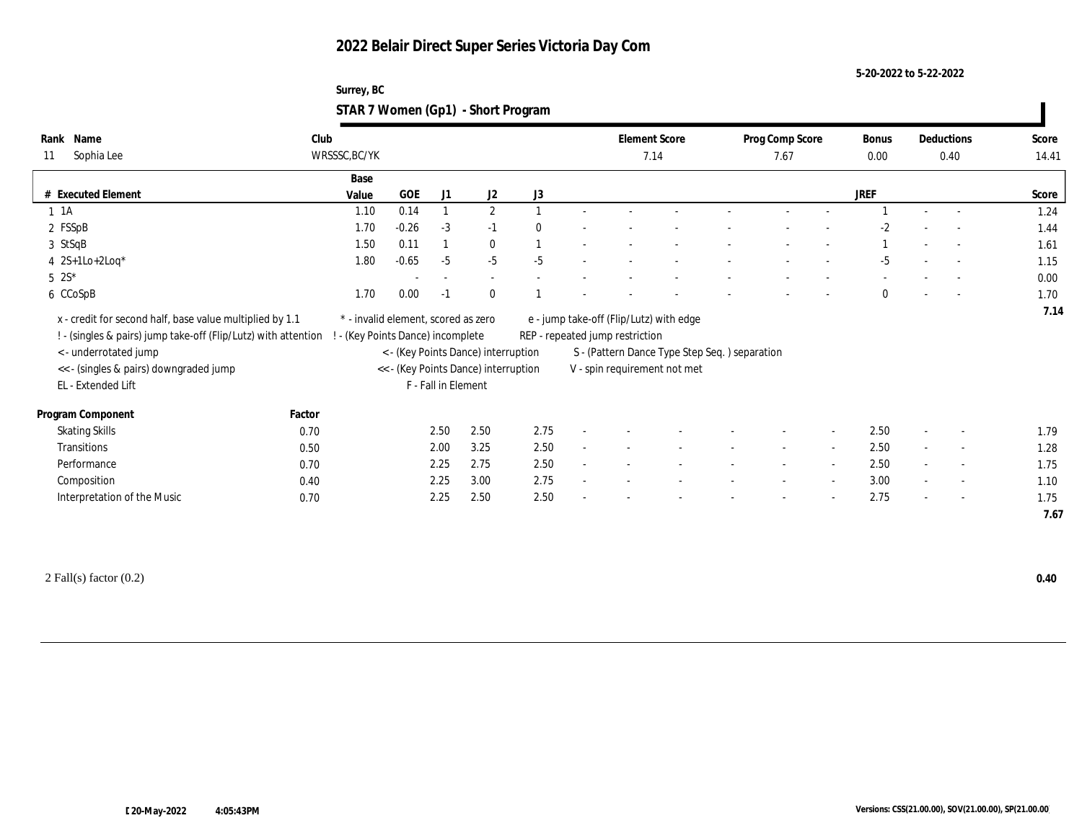**5-20-2022 to 5-22-2022**

| Surrey, BC                         |  |
|------------------------------------|--|
| STAR 7 Women (Gp1) - Short Program |  |

| Name<br>Rank<br>Sophia Lee<br>11                                                                                                                        | Club<br>WRSSSC, BC/YK |                                                                                                                  |                     |              |              | <b>Element Score</b><br>7.14    |                                                                               | Prog Comp Score<br>7.67  |                          | Bonus<br>0.00 |                          | Deductions<br>0.40       | Score<br>14.41 |
|---------------------------------------------------------------------------------------------------------------------------------------------------------|-----------------------|------------------------------------------------------------------------------------------------------------------|---------------------|--------------|--------------|---------------------------------|-------------------------------------------------------------------------------|--------------------------|--------------------------|---------------|--------------------------|--------------------------|----------------|
|                                                                                                                                                         | Base                  |                                                                                                                  |                     |              |              |                                 |                                                                               |                          |                          |               |                          |                          |                |
| # Executed Element                                                                                                                                      | Value                 | <b>GOE</b>                                                                                                       | J1                  | J2           | J3           |                                 |                                                                               |                          |                          | JREF          |                          |                          | Score          |
| $1 \t1A$                                                                                                                                                | 1.10                  | 0.14                                                                                                             |                     | $\mathbf{2}$ |              |                                 |                                                                               |                          |                          |               |                          |                          | 1.24           |
| 2 FSSpB                                                                                                                                                 | 1.70                  | $-0.26$                                                                                                          | $-3$                | $-1$         | $\mathbf{0}$ |                                 |                                                                               |                          |                          | -2            |                          |                          | 1.44           |
| 3 StSqB                                                                                                                                                 | 1.50                  | 0.11                                                                                                             |                     | $\bf{0}$     |              |                                 |                                                                               |                          |                          |               | $\overline{\phantom{a}}$ |                          | 1.61           |
| 4 $2S+1Lo+2Log*$                                                                                                                                        | 1.80                  | $-0.65$                                                                                                          | $-5$                | $-5$         | $-5$         |                                 |                                                                               |                          |                          | $-5$          |                          |                          | 1.15           |
| $5 \t2S^*$                                                                                                                                              |                       | $\overline{\phantom{a}}$                                                                                         | $\sim$              | $\sim$       |              |                                 |                                                                               |                          |                          |               |                          |                          | 0.00           |
| 6 CCoSpB                                                                                                                                                | 1.70                  | 0.00                                                                                                             | $-1$                | $\mathbf{0}$ |              |                                 |                                                                               |                          |                          | $\bf{0}$      |                          |                          | 1.70           |
| ! - (singles & pairs) jump take-off (Flip/Lutz) with attention<br>< - underrotated jump<br><< - (singles & pairs) downgraded jump<br>EL - Extended Lift |                       | ! - (Key Points Dance) incomplete<br>< - (Key Points Dance) interruption<br><< - (Key Points Dance) interruption | F - Fall in Element |              |              | REP - repeated jump restriction | S - (Pattern Dance Type Step Seq.) separation<br>V - spin requirement not met |                          |                          |               |                          |                          |                |
| Program Component                                                                                                                                       | Factor                |                                                                                                                  |                     |              |              |                                 |                                                                               |                          |                          |               |                          |                          |                |
| <b>Skating Skills</b>                                                                                                                                   | 0.70                  |                                                                                                                  | 2.50                | 2.50         | 2.75         |                                 |                                                                               |                          | $\sim$                   | 2.50          | $\sim$                   | $\overline{\phantom{a}}$ | 1.79           |
| Transitions                                                                                                                                             | 0.50                  |                                                                                                                  | 2.00                | 3.25         | 2.50         |                                 |                                                                               | $\sim$                   |                          | 2.50          | $\sim$                   | $\sim$                   | 1.28           |
| Performance                                                                                                                                             | 0.70                  |                                                                                                                  | 2.25                | 2.75         | 2.50         |                                 |                                                                               | $\sim$                   | $\sim$                   | 2.50          | $\sim$                   | $\sim$                   | 1.75           |
| Composition                                                                                                                                             | 0.40                  |                                                                                                                  | 2.25                | 3.00         | 2.75         |                                 |                                                                               |                          |                          | 3.00          | $\sim$                   | $\overline{\phantom{a}}$ | 1.10           |
|                                                                                                                                                         | 0.70                  |                                                                                                                  | 2.25                | 2.50         | 2.50         |                                 |                                                                               | $\overline{\phantom{a}}$ | $\overline{\phantom{a}}$ | 2.75          | $\sim$                   | $\sim$                   | 1.75           |

2 Fall(s) factor (0.2) **0.40**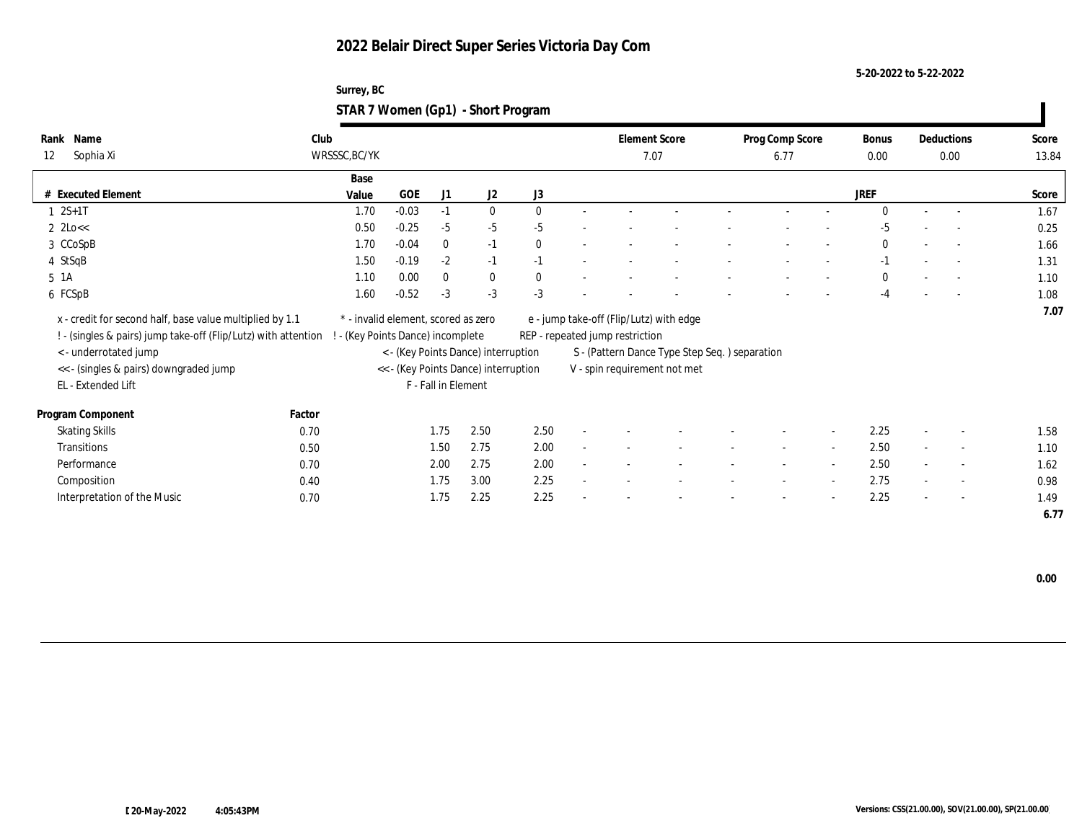**5-20-2022 to 5-22-2022**

| Surrey, BC                         |  |
|------------------------------------|--|
| STAR 7 Women (Gp1) - Short Program |  |

| Name<br>Rank<br>Sophia Xi<br>12                                                                                                                                                                                     | Club<br>WRSSSC, BC/YK |                                                                        |                     |                                                                             |              | 7.07                            | <b>Element Score</b>                                                                                                      | Prog Comp Score<br>6.77 |        | Bonus<br>0.00 |                          | Deductions<br>0.00       | Score<br>13.84 |
|---------------------------------------------------------------------------------------------------------------------------------------------------------------------------------------------------------------------|-----------------------|------------------------------------------------------------------------|---------------------|-----------------------------------------------------------------------------|--------------|---------------------------------|---------------------------------------------------------------------------------------------------------------------------|-------------------------|--------|---------------|--------------------------|--------------------------|----------------|
|                                                                                                                                                                                                                     | Base                  |                                                                        |                     |                                                                             |              |                                 |                                                                                                                           |                         |        |               |                          |                          |                |
| # Executed Element                                                                                                                                                                                                  | Value                 | <b>GOE</b>                                                             | J1                  | J <sub>2</sub>                                                              | J3           |                                 |                                                                                                                           |                         |        | <b>JREF</b>   |                          |                          | Score          |
| $1 \ 2S+1T$                                                                                                                                                                                                         | 1.70                  | $-0.03$                                                                | $-1$                | $\mathbf{0}$                                                                | $\theta$     |                                 |                                                                                                                           |                         |        | $\Omega$      |                          |                          | 1.67           |
| $2 \text{ 2Lo} <$                                                                                                                                                                                                   | 0.50                  | $-0.25$                                                                | $-5$                | $-5$                                                                        | $-5$         |                                 |                                                                                                                           |                         |        | $-5$          |                          | $\sim$                   | 0.25           |
| 3 CCoSpB                                                                                                                                                                                                            | 1.70                  | $-0.04$                                                                | $\bf{0}$            | $-1$                                                                        | $\mathbf{0}$ |                                 |                                                                                                                           |                         |        | $\bf{0}$      |                          | $\sim$                   | 1.66           |
| 4 StSqB                                                                                                                                                                                                             | 1.50                  | $-0.19$                                                                | $-2$                | $-1$                                                                        | $-1$         |                                 |                                                                                                                           |                         |        | $-1$          |                          | $\overline{a}$           | 1.31           |
| 5 1A                                                                                                                                                                                                                | 1.10                  | 0.00                                                                   | $\bf{0}$            | $\bf{0}$                                                                    | $\mathbf{0}$ |                                 |                                                                                                                           |                         |        | $\mathbf{0}$  |                          |                          | 1.10           |
| 6 FCSpB                                                                                                                                                                                                             | 1.60                  | $-0.52$                                                                | $-3$                | $-3$                                                                        | $-3$         |                                 |                                                                                                                           |                         |        | $-4$          |                          | $\overline{\phantom{a}}$ | 1.08           |
| x - credit for second half, base value multiplied by 1.1<br>! - (singles & pairs) jump take-off (Flip/Lutz) with attention<br>< - underrotated jump<br><< - (singles & pairs) downgraded jump<br>EL - Extended Lift |                       | * - invalid element, scored as zero<br>- (Key Points Dance) incomplete | F - Fall in Element | < - (Key Points Dance) interruption<br><< - (Key Points Dance) interruption |              | REP - repeated jump restriction | e - jump take-off (Flip/Lutz) with edge<br>S - (Pattern Dance Type Step Seq. ) separation<br>V - spin requirement not met |                         |        |               |                          |                          | 7.07           |
| Program Component                                                                                                                                                                                                   | Factor                |                                                                        |                     |                                                                             |              |                                 |                                                                                                                           |                         |        |               |                          |                          |                |
| <b>Skating Skills</b>                                                                                                                                                                                               | 0.70                  |                                                                        | 1.75                | 2.50                                                                        | 2.50         |                                 |                                                                                                                           |                         | $\sim$ | 2.25          | $\overline{\phantom{a}}$ | $\overline{\phantom{a}}$ | 1.58           |
| Transitions                                                                                                                                                                                                         | 0.50                  |                                                                        | 1.50                | 2.75                                                                        | 2.00         |                                 |                                                                                                                           | $\sim$                  | $\sim$ | 2.50          |                          | $\sim$                   | 1.10           |
| Performance                                                                                                                                                                                                         | 0.70                  |                                                                        | 2.00                | 2.75                                                                        | 2.00         |                                 |                                                                                                                           | $\sim$                  | $\sim$ | 2.50          | $\sim$                   | $\sim$                   | 1.62           |
| Composition                                                                                                                                                                                                         | 0.40                  |                                                                        | 1.75                | 3.00                                                                        | 2.25         |                                 |                                                                                                                           |                         | $\sim$ | 2.75          | $\sim$                   | $\sim$                   | 0.98           |
| Interpretation of the Music                                                                                                                                                                                         | 0.70                  |                                                                        | 1.75                | 2.25                                                                        | 2.25         |                                 |                                                                                                                           |                         | $\sim$ | 2.25          | $\sim$                   | $\sim$                   | 1.49           |
|                                                                                                                                                                                                                     |                       |                                                                        |                     |                                                                             |              |                                 |                                                                                                                           |                         |        |               |                          |                          | 6.77           |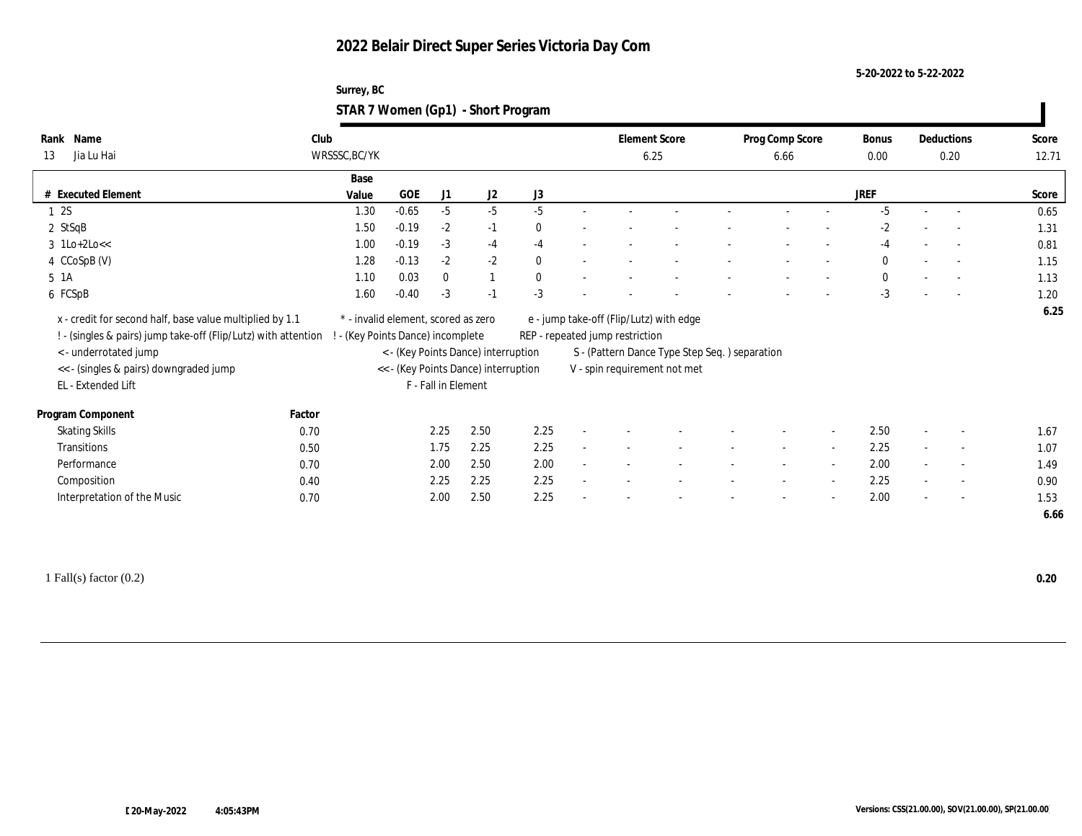**5-20-2022 to 5-22-2022**

| Surrey, BC                         |  |
|------------------------------------|--|
| STAR 7 Women (Gp1) - Short Program |  |

| Rank Name<br>Jia Lu Hai<br>13                                                           | Club<br>WRSSSC, BC/YK |                                                                        |                     |              |              | <b>Element Score</b><br>6.25    |                                                                                | Prog Comp Score<br>6.66 |                | <b>Bonus</b><br>0.00 |                          | Deductions<br>0.20       | Score<br>12.71 |
|-----------------------------------------------------------------------------------------|-----------------------|------------------------------------------------------------------------|---------------------|--------------|--------------|---------------------------------|--------------------------------------------------------------------------------|-------------------------|----------------|----------------------|--------------------------|--------------------------|----------------|
|                                                                                         | Base                  |                                                                        |                     |              |              |                                 |                                                                                |                         |                |                      |                          |                          |                |
| # Executed Element                                                                      | Value                 | GOE                                                                    | J1                  | J2           | $\rm J3$     |                                 |                                                                                |                         |                | JREF                 |                          |                          | Score          |
| 12S                                                                                     | 1.30                  | $-0.65$                                                                | $-5$                | $-5$         | $-5$         |                                 |                                                                                |                         |                | $-5$                 |                          |                          | 0.65           |
| 2 StSqB                                                                                 | 1.50                  | $-0.19$                                                                | $-2$                | $-1$         | $\bf{0}$     |                                 |                                                                                |                         |                | -2                   |                          |                          | 1.31           |
| $3 \text{ lLo+2Lo<<}$                                                                   | 1.00                  | $-0.19$                                                                | $-3$                | $-4$         | $-4$         |                                 |                                                                                |                         |                | -4                   | $\sim$                   |                          | 0.81           |
| 4 CCoSpB (V)                                                                            | 1.28                  | $-0.13$                                                                | $-2$                | $-2$         | $\mathbf{0}$ |                                 |                                                                                |                         |                | $\bf{0}$             |                          |                          | 1.15           |
| $5 \; 1A$                                                                               | 1.10                  | 0.03                                                                   | $\mathbf{0}$        | $\mathbf{1}$ | $\mathbf{0}$ |                                 |                                                                                |                         | $\sim$         | $\bf{0}$             | $\sim$                   |                          | 1.13           |
| 6 FCSpB                                                                                 | 1.60                  | $-0.40$                                                                | $-3$                | $-1$         | $-3$         |                                 |                                                                                |                         |                | $-3$                 |                          |                          | 1.20           |
| ! - (singles & pairs) jump take-off (Flip/Lutz) with attention<br>< - underrotated jump |                       | - (Key Points Dance) incomplete<br>< - (Key Points Dance) interruption |                     |              |              | REP - repeated jump restriction |                                                                                |                         |                |                      |                          |                          |                |
| << - (singles & pairs) downgraded jump<br>EL - Extended Lift                            |                       | << - (Key Points Dance) interruption                                   | F - Fall in Element |              |              |                                 | S - (Pattern Dance Type Step Seq. ) separation<br>V - spin requirement not met |                         |                |                      |                          |                          |                |
| Program Component                                                                       | Factor                |                                                                        |                     |              |              |                                 |                                                                                |                         |                |                      |                          |                          |                |
| <b>Skating Skills</b>                                                                   | 0.70                  |                                                                        | 2.25                | 2.50         | 2.25         |                                 |                                                                                |                         |                | 2.50                 |                          | $\overline{a}$           | 1.67           |
| <b>Transitions</b>                                                                      | 0.50                  |                                                                        | 1.75                | 2.25         | 2.25         |                                 |                                                                                |                         |                | 2.25                 |                          | $\overline{\phantom{a}}$ | 1.07           |
| Performance                                                                             | 0.70                  |                                                                        | 2.00                | 2.50         | 2.00         |                                 |                                                                                |                         |                | 2.00                 | $\overline{\phantom{a}}$ | $\sim$                   | 1.49           |
| Composition                                                                             | 0.40                  |                                                                        | 2.25                | 2.25         | 2.25         |                                 |                                                                                |                         | $\overline{a}$ | 2.25                 |                          | $\overline{\phantom{a}}$ | 0.90           |

1 Fall(s) factor (0.2) **0.20**